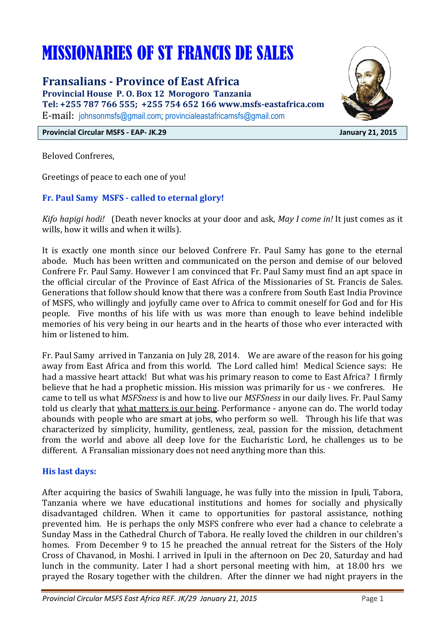# MISSIONARIES OF ST FRANCIS DE SALES

**Fransalians - Province of East Africa** 

**Provincial House P. O. Box 12 Morogoro Tanzania Tel: +255 787 766 555; +255 754 652 166 www.msfs-eastafrica.com**  E-mail: johnsonmsfs@gmail.com; provincialeastafricamsfs@gmail.com



**Provincial Circular MSFS - EAP- JK.29 January 21, 2015** 

Beloved Confreres,

Greetings of peace to each one of you!

# **Fr. Paul Samy MSFS - called to eternal glory!**

*Kifo hapigi hodi!* (Death never knocks at your door and ask, *May I come in!* It just comes as it wills, how it wills and when it wills).

It is exactly one month since our beloved Confrere Fr. Paul Samy has gone to the eternal abode. Much has been written and communicated on the person and demise of our beloved Confrere Fr. Paul Samy. However I am convinced that Fr. Paul Samy must find an apt space in the official circular of the Province of East Africa of the Missionaries of St. Francis de Sales. Generations that follow should know that there was a confrere from South East India Province of MSFS, who willingly and joyfully came over to Africa to commit oneself for God and for His people. Five months of his life with us was more than enough to leave behind indelible memories of his very being in our hearts and in the hearts of those who ever interacted with him or listened to him.

Fr. Paul Samy arrived in Tanzania on July 28, 2014. We are aware of the reason for his going away from East Africa and from this world. The Lord called him! Medical Science says: He had a massive heart attack! But what was his primary reason to come to East Africa? I firmly believe that he had a prophetic mission. His mission was primarily for us - we confreres. He came to tell us what *MSFSness* is and how to live our *MSFSness* in our daily lives. Fr. Paul Samy told us clearly that what matters is our being. Performance - anyone can do. The world today abounds with people who are smart at jobs, who perform so well. Through his life that was characterized by simplicity, humility, gentleness, zeal, passion for the mission, detachment from the world and above all deep love for the Eucharistic Lord, he challenges us to be different. A Fransalian missionary does not need anything more than this.

# **His last days:**

After acquiring the basics of Swahili language, he was fully into the mission in Ipuli, Tabora, Tanzania where we have educational institutions and homes for socially and physically disadvantaged children. When it came to opportunities for pastoral assistance, nothing prevented him. He is perhaps the only MSFS confrere who ever had a chance to celebrate a Sunday Mass in the Cathedral Church of Tabora. He really loved the children in our children's homes. From December 9 to 15 he preached the annual retreat for the Sisters of the Holy Cross of Chavanod, in Moshi. I arrived in Ipuli in the afternoon on Dec 20, Saturday and had lunch in the community. Later I had a short personal meeting with him, at 18.00 hrs we prayed the Rosary together with the children. After the dinner we had night prayers in the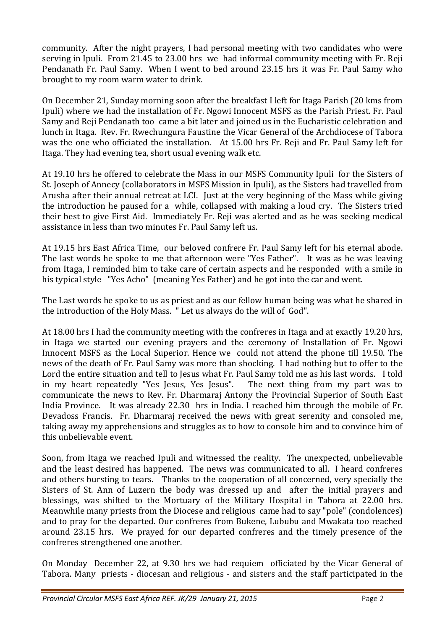community. After the night prayers, I had personal meeting with two candidates who were serving in Ipuli. From 21.45 to 23.00 hrs we had informal community meeting with Fr. Reji Pendanath Fr. Paul Samy. When I went to bed around 23.15 hrs it was Fr. Paul Samy who brought to my room warm water to drink.

On December 21, Sunday morning soon after the breakfast I left for Itaga Parish (20 kms from Ipuli) where we had the installation of Fr. Ngowi Innocent MSFS as the Parish Priest. Fr. Paul Samy and Reji Pendanath too came a bit later and joined us in the Eucharistic celebration and lunch in Itaga. Rev. Fr. Rwechungura Faustine the Vicar General of the Archdiocese of Tabora was the one who officiated the installation. At 15.00 hrs Fr. Reji and Fr. Paul Samy left for Itaga. They had evening tea, short usual evening walk etc.

At 19.10 hrs he offered to celebrate the Mass in our MSFS Community Ipuli for the Sisters of St. Joseph of Annecy (collaborators in MSFS Mission in Ipuli), as the Sisters had travelled from Arusha after their annual retreat at LCI. Just at the very beginning of the Mass while giving the introduction he paused for a while, collapsed with making a loud cry. The Sisters tried their best to give First Aid. Immediately Fr. Reji was alerted and as he was seeking medical assistance in less than two minutes Fr. Paul Samy left us.

At 19.15 hrs East Africa Time, our beloved confrere Fr. Paul Samy left for his eternal abode. The last words he spoke to me that afternoon were "Yes Father". It was as he was leaving from Itaga, I reminded him to take care of certain aspects and he responded with a smile in his typical style "Yes Acho" (meaning Yes Father) and he got into the car and went.

The Last words he spoke to us as priest and as our fellow human being was what he shared in the introduction of the Holy Mass. " Let us always do the will of God".

At 18.00 hrs I had the community meeting with the confreres in Itaga and at exactly 19.20 hrs, in Itaga we started our evening prayers and the ceremony of Installation of Fr. Ngowi Innocent MSFS as the Local Superior. Hence we could not attend the phone till 19.50. The news of the death of Fr. Paul Samy was more than shocking. I had nothing but to offer to the Lord the entire situation and tell to Jesus what Fr. Paul Samy told me as his last words. I told in my heart repeatedly "Yes Jesus, Yes Jesus". The next thing from my part was to communicate the news to Rev. Fr. Dharmaraj Antony the Provincial Superior of South East India Province. It was already 22.30 hrs in India. I reached him through the mobile of Fr. Devadoss Francis. Fr. Dharmaraj received the news with great serenity and consoled me, taking away my apprehensions and struggles as to how to console him and to convince him of this unbelievable event.

Soon, from Itaga we reached Ipuli and witnessed the reality. The unexpected, unbelievable and the least desired has happened. The news was communicated to all. I heard confreres and others bursting to tears. Thanks to the cooperation of all concerned, very specially the Sisters of St. Ann of Luzern the body was dressed up and after the initial prayers and blessings, was shifted to the Mortuary of the Military Hospital in Tabora at 22.00 hrs. Meanwhile many priests from the Diocese and religious came had to say "pole" (condolences) and to pray for the departed. Our confreres from Bukene, Lububu and Mwakata too reached around 23.15 hrs. We prayed for our departed confreres and the timely presence of the confreres strengthened one another.

On Monday December 22, at 9.30 hrs we had requiem officiated by the Vicar General of Tabora. Many priests - diocesan and religious - and sisters and the staff participated in the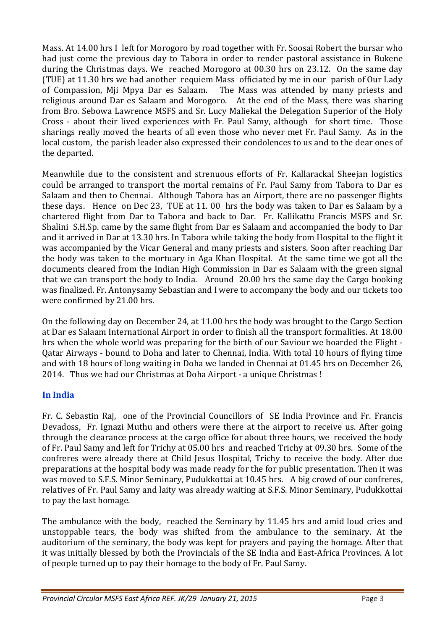Mass. At 14.00 hrs I left for Morogoro by road together with Fr. Soosai Robert the bursar who had just come the previous day to Tabora in order to render pastoral assistance in Bukene during the Christmas days. We reached Morogoro at 00.30 hrs on 23.12. On the same day (TUE) at 11.30 hrs we had another requiem Mass officiated by me in our parish of Our Lady of Compassion, Mji Mpya Dar es Salaam. The Mass was attended by many priests and religious around Dar es Salaam and Morogoro. At the end of the Mass, there was sharing from Bro. Sebowa Lawrence MSFS and Sr. Lucy Maliekal the Delegation Superior of the Holy Cross - about their lived experiences with Fr. Paul Samy, although for short time. Those sharings really moved the hearts of all even those who never met Fr. Paul Samy. As in the local custom, the parish leader also expressed their condolences to us and to the dear ones of the departed.

Meanwhile due to the consistent and strenuous efforts of Fr. Kallarackal Sheejan logistics could be arranged to transport the mortal remains of Fr. Paul Samy from Tabora to Dar es Salaam and then to Chennai. Although Tabora has an Airport, there are no passenger flights these days. Hence on Dec 23, TUE at 11. 00 hrs the body was taken to Dar es Salaam by a chartered flight from Dar to Tabora and back to Dar. Fr. Kallikattu Francis MSFS and Sr. Shalini S.H.Sp. came by the same flight from Dar es Salaam and accompanied the body to Dar and it arrived in Dar at 13.30 hrs. In Tabora while taking the body from Hospital to the flight it was accompanied by the Vicar General and many priests and sisters. Soon after reaching Dar the body was taken to the mortuary in Aga Khan Hospital. At the same time we got all the documents cleared from the Indian High Commission in Dar es Salaam with the green signal that we can transport the body to India. Around 20.00 hrs the same day the Cargo booking was finalized. Fr. Antonysamy Sebastian and I were to accompany the body and our tickets too were confirmed by 21.00 hrs.

On the following day on December 24, at 11.00 hrs the body was brought to the Cargo Section at Dar es Salaam International Airport in order to finish all the transport formalities. At 18.00 hrs when the whole world was preparing for the birth of our Saviour we boarded the Flight - Qatar Airways - bound to Doha and later to Chennai, India. With total 10 hours of flying time and with 18 hours of long waiting in Doha we landed in Chennai at 01.45 hrs on December 26, 2014. Thus we had our Christmas at Doha Airport - a unique Christmas !

# **In India**

Fr. C. Sebastin Raj, one of the Provincial Councillors of SE India Province and Fr. Francis Devadoss, Fr. Ignazi Muthu and others were there at the airport to receive us. After going through the clearance process at the cargo office for about three hours, we received the body of Fr. Paul Samy and left for Trichy at 05.00 hrs and reached Trichy at 09.30 hrs. Some of the confreres were already there at Child Jesus Hospital, Trichy to receive the body. After due preparations at the hospital body was made ready for the for public presentation. Then it was was moved to S.F.S. Minor Seminary, Pudukkottai at 10.45 hrs. A big crowd of our confreres, relatives of Fr. Paul Samy and laity was already waiting at S.F.S. Minor Seminary, Pudukkottai to pay the last homage.

The ambulance with the body, reached the Seminary by 11.45 hrs and amid loud cries and unstoppable tears, the body was shifted from the ambulance to the seminary. At the auditorium of the seminary, the body was kept for prayers and paying the homage. After that it was initially blessed by both the Provincials of the SE India and East-Africa Provinces. A lot of people turned up to pay their homage to the body of Fr. Paul Samy.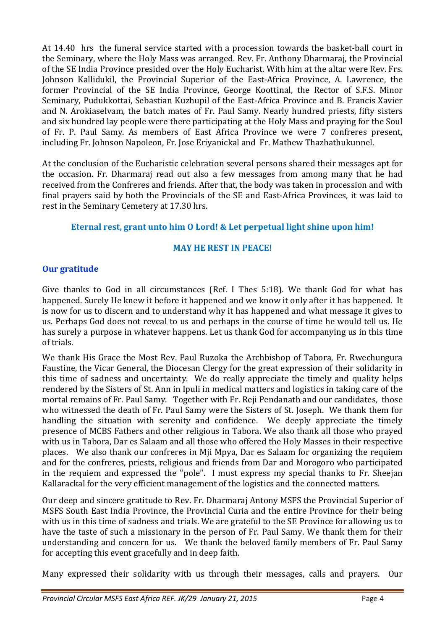At 14.40 hrs the funeral service started with a procession towards the basket-ball court in the Seminary, where the Holy Mass was arranged. Rev. Fr. Anthony Dharmaraj, the Provincial of the SE India Province presided over the Holy Eucharist. With him at the altar were Rev. Frs. Johnson Kallidukil, the Provincial Superior of the East-Africa Province, A. Lawrence, the former Provincial of the SE India Province, George Koottinal, the Rector of S.F.S. Minor Seminary, Pudukkottai, Sebastian Kuzhupil of the East-Africa Province and B. Francis Xavier and N. Arokiaselvam, the batch mates of Fr. Paul Samy. Nearly hundred priests, fifty sisters and six hundred lay people were there participating at the Holy Mass and praying for the Soul of Fr. P. Paul Samy. As members of East Africa Province we were 7 confreres present, including Fr. Johnson Napoleon, Fr. Jose Eriyanickal and Fr. Mathew Thazhathukunnel.

At the conclusion of the Eucharistic celebration several persons shared their messages apt for the occasion. Fr. Dharmaraj read out also a few messages from among many that he had received from the Confreres and friends. After that, the body was taken in procession and with final prayers said by both the Provincials of the SE and East-Africa Provinces, it was laid to rest in the Seminary Cemetery at 17.30 hrs.

# **Eternal rest, grant unto him O Lord! & Let perpetual light shine upon him!**

# **MAY HE REST IN PEACE!**

# **Our gratitude**

Give thanks to God in all circumstances (Ref. I Thes 5:18). We thank God for what has happened. Surely He knew it before it happened and we know it only after it has happened. It is now for us to discern and to understand why it has happened and what message it gives to us. Perhaps God does not reveal to us and perhaps in the course of time he would tell us. He has surely a purpose in whatever happens. Let us thank God for accompanying us in this time of trials.

We thank His Grace the Most Rev. Paul Ruzoka the Archbishop of Tabora, Fr. Rwechungura Faustine, the Vicar General, the Diocesan Clergy for the great expression of their solidarity in this time of sadness and uncertainty. We do really appreciate the timely and quality helps rendered by the Sisters of St. Ann in Ipuli in medical matters and logistics in taking care of the mortal remains of Fr. Paul Samy. Together with Fr. Reji Pendanath and our candidates, those who witnessed the death of Fr. Paul Samy were the Sisters of St. Joseph. We thank them for handling the situation with serenity and confidence. We deeply appreciate the timely presence of MCBS Fathers and other religious in Tabora. We also thank all those who prayed with us in Tabora, Dar es Salaam and all those who offered the Holy Masses in their respective places. We also thank our confreres in Mji Mpya, Dar es Salaam for organizing the requiem and for the confreres, priests, religious and friends from Dar and Morogoro who participated in the requiem and expressed the "pole". I must express my special thanks to Fr. Sheejan Kallarackal for the very efficient management of the logistics and the connected matters.

Our deep and sincere gratitude to Rev. Fr. Dharmaraj Antony MSFS the Provincial Superior of MSFS South East India Province, the Provincial Curia and the entire Province for their being with us in this time of sadness and trials. We are grateful to the SE Province for allowing us to have the taste of such a missionary in the person of Fr. Paul Samy. We thank them for their understanding and concern for us. We thank the beloved family members of Fr. Paul Samy for accepting this event gracefully and in deep faith.

Many expressed their solidarity with us through their messages, calls and prayers. Our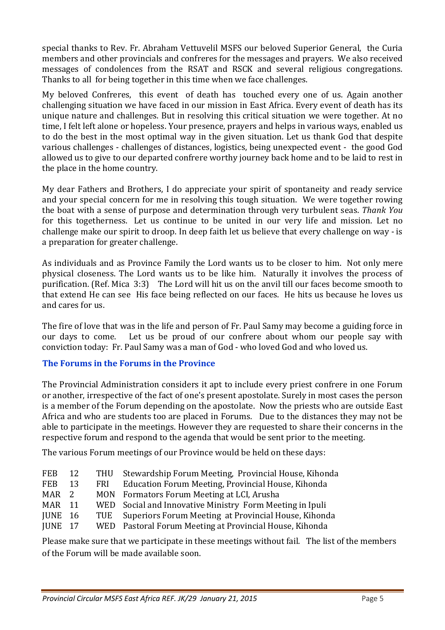special thanks to Rev. Fr. Abraham Vettuvelil MSFS our beloved Superior General, the Curia members and other provincials and confreres for the messages and prayers. We also received messages of condolences from the RSAT and RSCK and several religious congregations. Thanks to all for being together in this time when we face challenges.

My beloved Confreres, this event of death has touched every one of us. Again another challenging situation we have faced in our mission in East Africa. Every event of death has its unique nature and challenges. But in resolving this critical situation we were together. At no time, I felt left alone or hopeless. Your presence, prayers and helps in various ways, enabled us to do the best in the most optimal way in the given situation. Let us thank God that despite various challenges - challenges of distances, logistics, being unexpected event - the good God allowed us to give to our departed confrere worthy journey back home and to be laid to rest in the place in the home country.

My dear Fathers and Brothers, I do appreciate your spirit of spontaneity and ready service and your special concern for me in resolving this tough situation. We were together rowing the boat with a sense of purpose and determination through very turbulent seas. *Thank You* for this togetherness. Let us continue to be united in our very life and mission. Let no challenge make our spirit to droop. In deep faith let us believe that every challenge on way - is a preparation for greater challenge.

As individuals and as Province Family the Lord wants us to be closer to him. Not only mere physical closeness. The Lord wants us to be like him. Naturally it involves the process of purification. (Ref. Mica 3:3) The Lord will hit us on the anvil till our faces become smooth to that extend He can see His face being reflected on our faces. He hits us because he loves us and cares for us.

The fire of love that was in the life and person of Fr. Paul Samy may become a guiding force in our days to come. Let us be proud of our confrere about whom our people say with conviction today: Fr. Paul Samy was a man of God - who loved God and who loved us.

# **The Forums in the Forums in the Province**

The Provincial Administration considers it apt to include every priest confrere in one Forum or another, irrespective of the fact of one's present apostolate. Surely in most cases the person is a member of the Forum depending on the apostolate. Now the priests who are outside East Africa and who are students too are placed in Forums. Due to the distances they may not be able to participate in the meetings. However they are requested to share their concerns in the respective forum and respond to the agenda that would be sent prior to the meeting.

The various Forum meetings of our Province would be held on these days:

| <b>FEB</b>       | 12 |       | THU Stewardship Forum Meeting, Provincial House, Kihonda |
|------------------|----|-------|----------------------------------------------------------|
| <b>FEB</b>       | 13 | FRI – | Education Forum Meeting, Provincial House, Kihonda       |
| MAR <sub>2</sub> |    |       | MON Formators Forum Meeting at LCI, Arusha               |
| MAR 11           |    |       | WED Social and Innovative Ministry Form Meeting in Ipuli |
| JUNE 16          |    |       | TUE Superiors Forum Meeting at Provincial House, Kihonda |
| IUNE 17          |    |       | WED Pastoral Forum Meeting at Provincial House, Kihonda  |

Please make sure that we participate in these meetings without fail. The list of the members of the Forum will be made available soon.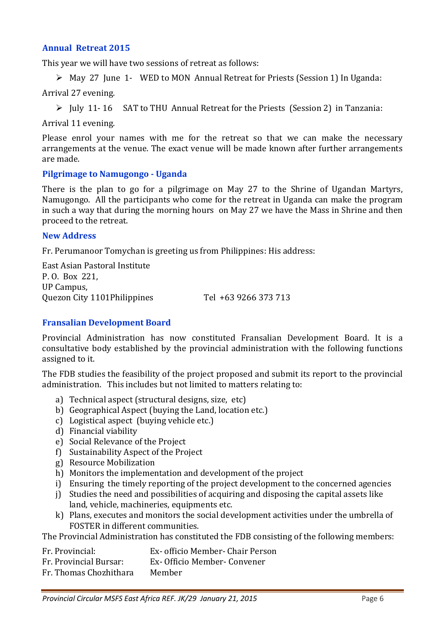#### **Annual Retreat 2015**

This year we will have two sessions of retreat as follows:

May 27 June 1- WED to MON Annual Retreat for Priests (Session 1) In Uganda:

Arrival 27 evening.

 $\triangleright$  July 11-16 SAT to THU Annual Retreat for the Priests (Session 2) in Tanzania:

Arrival 11 evening.

Please enrol your names with me for the retreat so that we can make the necessary arrangements at the venue. The exact venue will be made known after further arrangements are made.

#### **Pilgrimage to Namugongo - Uganda**

There is the plan to go for a pilgrimage on May 27 to the Shrine of Ugandan Martyrs, Namugongo. All the participants who come for the retreat in Uganda can make the program in such a way that during the morning hours on May 27 we have the Mass in Shrine and then proceed to the retreat.

#### **New Address**

Fr. Perumanoor Tomychan is greeting us from Philippines: His address:

East Asian Pastoral Institute P. O. Box 221, UP Campus, Quezon City 1101Philippines Tel +63 9266 373 713

## **Fransalian Development Board**

Provincial Administration has now constituted Fransalian Development Board. It is a consultative body established by the provincial administration with the following functions assigned to it.

The FDB studies the feasibility of the project proposed and submit its report to the provincial administration. This includes but not limited to matters relating to:

- a) Technical aspect (structural designs, size, etc)
- b) Geographical Aspect (buying the Land, location etc.)
- c) Logistical aspect (buying vehicle etc.)
- d) Financial viability
- e) Social Relevance of the Project
- f) Sustainability Aspect of the Project
- g) Resource Mobilization
- h) Monitors the implementation and development of the project
- i) Ensuring the timely reporting of the project development to the concerned agencies
- j) Studies the need and possibilities of acquiring and disposing the capital assets like land, vehicle, machineries, equipments etc.
- k) Plans, executes and monitors the social development activities under the umbrella of FOSTER in different communities.

The Provincial Administration has constituted the FDB consisting of the following members:

- Fr. Provincial: Ex- officio Member- Chair Person Fr. Provincial Bursar: Ex- Officio Member- Convener
- 
- Fr. Thomas Chozhithara Member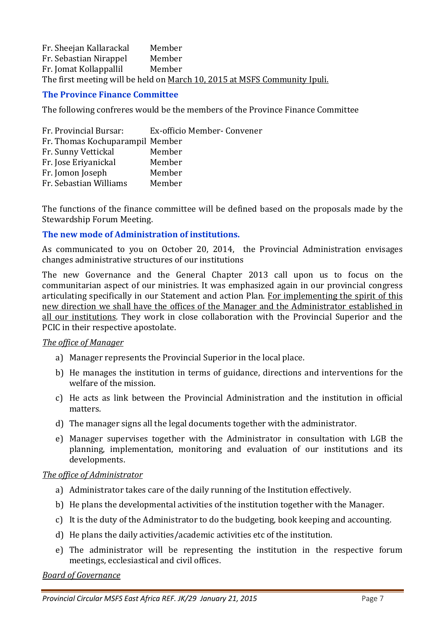Fr. Sheejan Kallarackal Member Fr. Sebastian Nirappel Member Fr. Jomat Kollappallil Member The first meeting will be held on March 10, 2015 at MSFS Community Ipuli.

## **The Province Finance Committee**

The following confreres would be the members of the Province Finance Committee

| Fr. Provincial Bursar:          | Ex-officio Member- Convener |
|---------------------------------|-----------------------------|
| Fr. Thomas Kochuparampil Member |                             |
| Fr. Sunny Vettickal             | Member                      |
| Fr. Jose Eriyanickal            | Member                      |
| Fr. Jomon Joseph                | Member                      |
| Fr. Sebastian Williams          | Member                      |

The functions of the finance committee will be defined based on the proposals made by the Stewardship Forum Meeting.

#### **The new mode of Administration of institutions.**

As communicated to you on October 20, 2014, the Provincial Administration envisages changes administrative structures of our institutions

The new Governance and the General Chapter 2013 call upon us to focus on the communitarian aspect of our ministries. It was emphasized again in our provincial congress articulating specifically in our Statement and action Plan. For implementing the spirit of this new direction we shall have the offices of the Manager and the Administrator established in all our institutions. They work in close collaboration with the Provincial Superior and the PCIC in their respective apostolate.

#### *The office of Manager*

- a) Manager represents the Provincial Superior in the local place.
- b) He manages the institution in terms of guidance, directions and interventions for the welfare of the mission.
- c) He acts as link between the Provincial Administration and the institution in official matters.
- d) The manager signs all the legal documents together with the administrator.
- e) Manager supervises together with the Administrator in consultation with LGB the planning, implementation, monitoring and evaluation of our institutions and its developments.

## *The office of Administrator*

- a) Administrator takes care of the daily running of the Institution effectively.
- b) He plans the developmental activities of the institution together with the Manager.
- c) It is the duty of the Administrator to do the budgeting, book keeping and accounting.
- d) He plans the daily activities/academic activities etc of the institution.
- e) The administrator will be representing the institution in the respective forum meetings, ecclesiastical and civil offices.

#### *Board of Governance*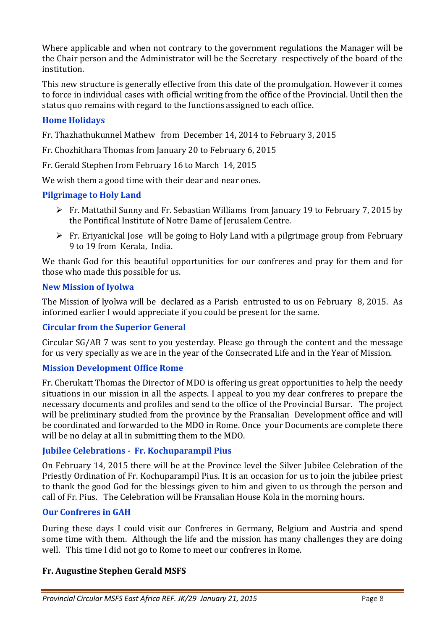Where applicable and when not contrary to the government regulations the Manager will be the Chair person and the Administrator will be the Secretary respectively of the board of the institution.

This new structure is generally effective from this date of the promulgation. However it comes to force in individual cases with official writing from the office of the Provincial. Until then the status quo remains with regard to the functions assigned to each office.

# **Home Holidays**

Fr. Thazhathukunnel Mathew from December 14, 2014 to February 3, 2015

Fr. Chozhithara Thomas from January 20 to February 6, 2015

Fr. Gerald Stephen from February 16 to March 14, 2015

We wish them a good time with their dear and near ones.

## **Pilgrimage to Holy Land**

- Fr. Mattathil Sunny and Fr. Sebastian Williams from January 19 to February 7, 2015 by the Pontifical Institute of Notre Dame of Jerusalem Centre.
- $\triangleright$  Fr. Eriyanickal Jose will be going to Holy Land with a pilgrimage group from February 9 to 19 from Kerala, India.

We thank God for this beautiful opportunities for our confreres and pray for them and for those who made this possible for us.

## **New Mission of Iyolwa**

The Mission of Iyolwa will be declared as a Parish entrusted to us on February 8, 2015. As informed earlier I would appreciate if you could be present for the same.

## **Circular from the Superior General**

Circular SG/AB 7 was sent to you yesterday. Please go through the content and the message for us very specially as we are in the year of the Consecrated Life and in the Year of Mission.

## **Mission Development Office Rome**

Fr. Cherukatt Thomas the Director of MDO is offering us great opportunities to help the needy situations in our mission in all the aspects. I appeal to you my dear confreres to prepare the necessary documents and profiles and send to the office of the Provincial Bursar. The project will be preliminary studied from the province by the Fransalian Development office and will be coordinated and forwarded to the MDO in Rome. Once your Documents are complete there will be no delay at all in submitting them to the MDO.

## **Jubilee Celebrations - Fr. Kochuparampil Pius**

On February 14, 2015 there will be at the Province level the Silver Jubilee Celebration of the Priestly Ordination of Fr. Kochuparampil Pius. It is an occasion for us to join the jubilee priest to thank the good God for the blessings given to him and given to us through the person and call of Fr. Pius. The Celebration will be Fransalian House Kola in the morning hours.

## **Our Confreres in GAH**

During these days I could visit our Confreres in Germany, Belgium and Austria and spend some time with them. Although the life and the mission has many challenges they are doing well. This time I did not go to Rome to meet our confreres in Rome.

# **Fr. Augustine Stephen Gerald MSFS**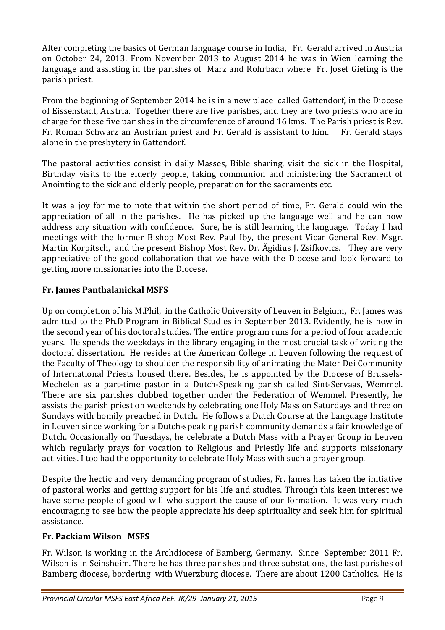After completing the basics of German language course in India, Fr. Gerald arrived in Austria on October 24, 2013. From November 2013 to August 2014 he was in Wien learning the language and assisting in the parishes of Marz and Rohrbach where Fr. Josef Giefing is the parish priest.

From the beginning of September 2014 he is in a new place called Gattendorf, in the Diocese of Eissenstadt, Austria. Together there are five parishes, and they are two priests who are in charge for these five parishes in the circumference of around 16 kms. The Parish priest is Rev. Fr. Roman Schwarz an Austrian priest and Fr. Gerald is assistant to him. Fr. Gerald stays alone in the presbytery in Gattendorf.

The pastoral activities consist in daily Masses, Bible sharing, visit the sick in the Hospital, Birthday visits to the elderly people, taking communion and ministering the Sacrament of Anointing to the sick and elderly people, preparation for the sacraments etc.

It was a joy for me to note that within the short period of time, Fr. Gerald could win the appreciation of all in the parishes. He has picked up the language well and he can now address any situation with confidence. Sure, he is still learning the language. Today I had meetings with the former Bishop Most Rev. Paul Iby, the present Vicar General Rev. Msgr. Martin Korpitsch, and the present Bishop Most Rev. Dr. Ägidius J. Zsifkovics. They are very appreciative of the good collaboration that we have with the Diocese and look forward to getting more missionaries into the Diocese.

# **Fr. James Panthalanickal MSFS**

Up on completion of his M.Phil, in the Catholic University of Leuven in Belgium, Fr. James was admitted to the Ph.D Program in Biblical Studies in September 2013. Evidently, he is now in the second year of his doctoral studies. The entire program runs for a period of four academic years. He spends the weekdays in the library engaging in the most crucial task of writing the doctoral dissertation. He resides at the American College in Leuven following the request of the Faculty of Theology to shoulder the responsibility of animating the Mater Dei Community of International Priests housed there. Besides, he is appointed by the Diocese of Brussels-Mechelen as a part-time pastor in a Dutch-Speaking parish called Sint-Servaas, Wemmel. There are six parishes clubbed together under the Federation of Wemmel. Presently, he assists the parish priest on weekends by celebrating one Holy Mass on Saturdays and three on Sundays with homily preached in Dutch. He follows a Dutch Course at the Language Institute in Leuven since working for a Dutch-speaking parish community demands a fair knowledge of Dutch. Occasionally on Tuesdays, he celebrate a Dutch Mass with a Prayer Group in Leuven which regularly prays for vocation to Religious and Priestly life and supports missionary activities. I too had the opportunity to celebrate Holy Mass with such a prayer group.

Despite the hectic and very demanding program of studies, Fr. James has taken the initiative of pastoral works and getting support for his life and studies. Through this keen interest we have some people of good will who support the cause of our formation. It was very much encouraging to see how the people appreciate his deep spirituality and seek him for spiritual assistance.

# **Fr. Packiam Wilson MSFS**

Fr. Wilson is working in the Archdiocese of Bamberg, Germany. Since September 2011 Fr. Wilson is in Seinsheim. There he has three parishes and three substations, the last parishes of Bamberg diocese, bordering with Wuerzburg diocese. There are about 1200 Catholics. He is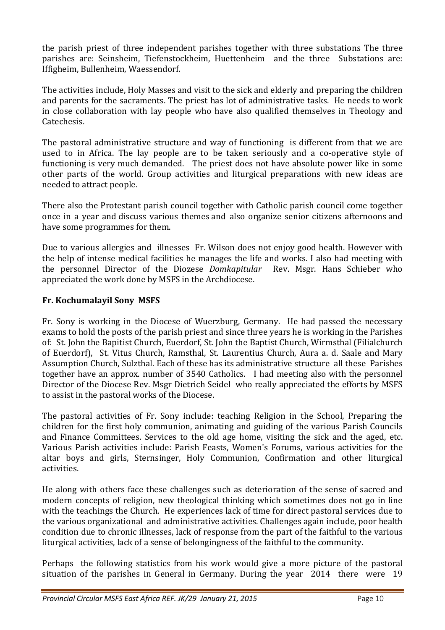the parish priest of three independent parishes together with three substations The three parishes are: Seinsheim, Tiefenstockheim, Huettenheim and the three Substations are: Iffigheim, Bullenheim, Waessendorf.

The activities include, Holy Masses and visit to the sick and elderly and preparing the children and parents for the sacraments. The priest has lot of administrative tasks. He needs to work in close collaboration with lay people who have also qualified themselves in Theology and Catechesis.

The pastoral administrative structure and way of functioning is different from that we are used to in Africa. The lay people are to be taken seriously and a co-operative style of functioning is very much demanded. The priest does not have absolute power like in some other parts of the world. Group activities and liturgical preparations with new ideas are needed to attract people.

There also the Protestant parish council together with Catholic parish council come together once in a year and discuss various themes and also organize senior citizens afternoons and have some programmes for them.

Due to various allergies and illnesses Fr. Wilson does not enjoy good health. However with the help of intense medical facilities he manages the life and works. I also had meeting with the personnel Director of the Diozese *Domkapitular* Rev. Msgr. Hans Schieber who appreciated the work done by MSFS in the Archdiocese.

## **Fr. Kochumalayil Sony MSFS**

Fr. Sony is working in the Diocese of Wuerzburg, Germany. He had passed the necessary exams to hold the posts of the parish priest and since three years he is working in the Parishes of: St. John the Bapitist Church, Euerdorf, St. John the Baptist Church, Wirmsthal (Filialchurch of Euerdorf), St. Vitus Church, Ramsthal, St. Laurentius Church, Aura a. d. Saale and Mary Assumption Church, Sulzthal. Each of these has its administrative structure all these Parishes together have an approx. number of 3540 Catholics. I had meeting also with the personnel Director of the Diocese Rev. Msgr Dietrich Seidel who really appreciated the efforts by MSFS to assist in the pastoral works of the Diocese.

The pastoral activities of Fr. Sony include: teaching Religion in the School, Preparing the children for the first holy communion, animating and guiding of the various Parish Councils and Finance Committees. Services to the old age home, visiting the sick and the aged, etc. Various Parish activities include: Parish Feasts, Women's Forums, various activities for the altar boys and girls, Sternsinger, Holy Communion, Confirmation and other liturgical activities.

He along with others face these challenges such as deterioration of the sense of sacred and modern concepts of religion, new theological thinking which sometimes does not go in line with the teachings the Church. He experiences lack of time for direct pastoral services due to the various organizational and administrative activities. Challenges again include, poor health condition due to chronic illnesses, lack of response from the part of the faithful to the various liturgical activities, lack of a sense of belongingness of the faithful to the community.

Perhaps the following statistics from his work would give a more picture of the pastoral situation of the parishes in General in Germany. During the year 2014 there were 19